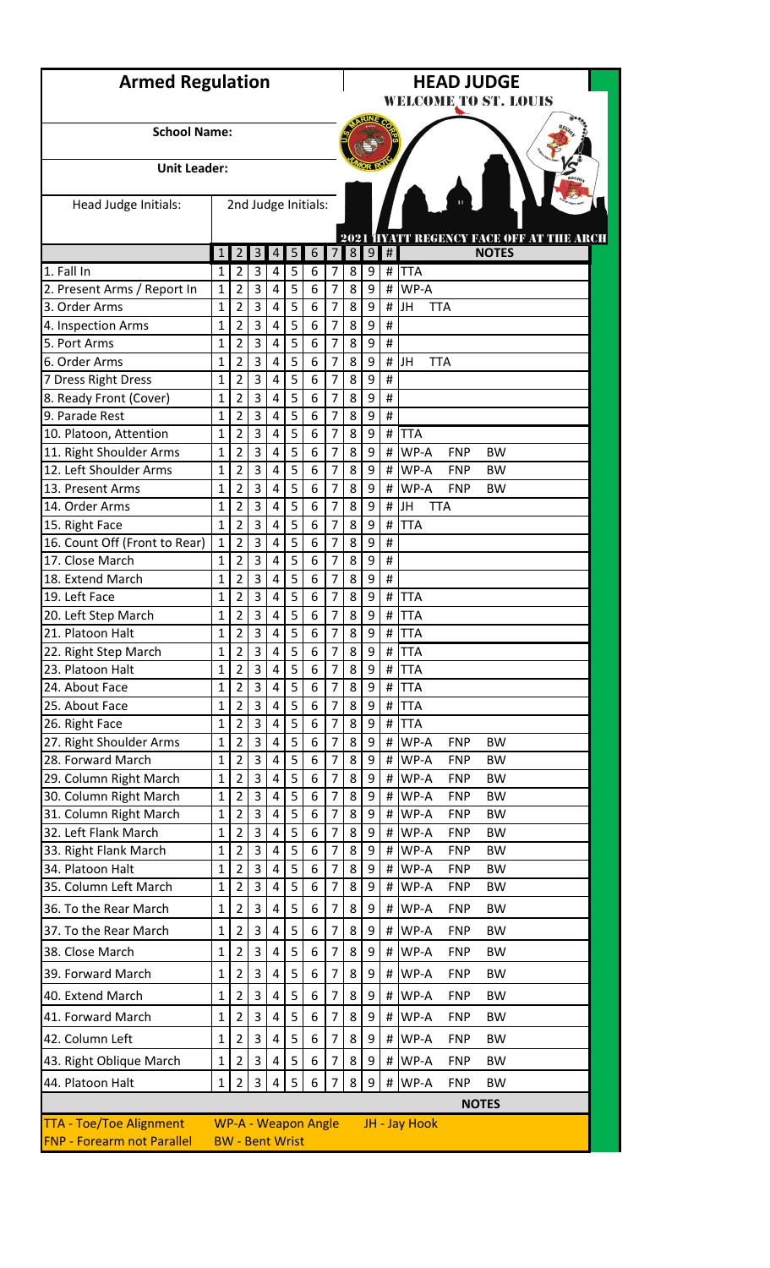| <b>Armed Regulation</b>                                             |                  |                                  |                |                |        | <b>HEAD JUDGE</b><br><b>WELCOME TO ST. LOUIS</b> |                                  |                |                 |                |                                                                    |  |  |  |  |  |
|---------------------------------------------------------------------|------------------|----------------------------------|----------------|----------------|--------|--------------------------------------------------|----------------------------------|----------------|-----------------|----------------|--------------------------------------------------------------------|--|--|--|--|--|
| <b>School Name:</b>                                                 |                  |                                  |                |                |        |                                                  |                                  |                |                 |                |                                                                    |  |  |  |  |  |
| <b>Unit Leader:</b>                                                 |                  |                                  |                |                |        |                                                  |                                  |                |                 |                |                                                                    |  |  |  |  |  |
| Head Judge Initials:                                                |                  |                                  |                |                |        | 2nd Judge Initials:                              |                                  |                |                 |                |                                                                    |  |  |  |  |  |
|                                                                     |                  |                                  |                |                |        |                                                  |                                  |                |                 |                | 2021 <b>HYATT REGENCY FACE OFF AT THE ARCH</b>                     |  |  |  |  |  |
|                                                                     | $\mathbf{1}$     | $\overline{2}$                   | $\overline{3}$ | 4              | 5      | 6                                                | $\overline{7}$                   | 8 <sup>1</sup> | $\vert 9 \vert$ | $\#$           | <b>NOTES</b>                                                       |  |  |  |  |  |
| 1. Fall In<br>2. Present Arms / Report In                           | 1<br>1           | $\overline{2}$<br>$\overline{2}$ | 3<br>3         | 4<br>4         | 5<br>5 | 6<br>6                                           | 7<br>7                           | 8<br>8         | 9<br>9          | #<br>#         | <b>TTA</b><br>WP-A                                                 |  |  |  |  |  |
| 3. Order Arms                                                       | 1                | 2                                | 3              | 4              | 5      | 6                                                | 7                                | 8              | 9               | #              | JH<br><b>TTA</b>                                                   |  |  |  |  |  |
| 4. Inspection Arms                                                  | 1                | $\overline{2}$                   | 3              | 4              | 5      | 6                                                | $\overline{7}$                   | 8              | 9               | $\pmb{\sharp}$ |                                                                    |  |  |  |  |  |
| 5. Port Arms                                                        | $\mathbf{1}$     | $\overline{2}$                   | 3              | 4              | 5      | 6                                                | $\overline{7}$                   | 8              | 9               | #              |                                                                    |  |  |  |  |  |
| 6. Order Arms                                                       | 1                | $\overline{2}$                   | 3              | 4              | 5      | 6                                                | $\overline{7}$                   | 8              | 9               | #              | JH<br><b>TTA</b>                                                   |  |  |  |  |  |
| 7 Dress Right Dress                                                 | 1                | $\overline{2}$                   | 3              | 4              | 5      | 6                                                | 7                                | 8              | 9               | #              |                                                                    |  |  |  |  |  |
| 8. Ready Front (Cover)                                              | 1                | $\overline{2}$                   | 3              | 4              | 5      | 6                                                | 7                                | 8              | 9               | #              |                                                                    |  |  |  |  |  |
| 9. Parade Rest                                                      | 1                | $\overline{2}$                   | 3              | 4              | 5      | 6                                                | $\overline{7}$                   | 8              | 9               | $\#$           |                                                                    |  |  |  |  |  |
| 10. Platoon, Attention                                              | $\overline{1}$   | $\overline{2}$                   | 3              | $\overline{4}$ | 5      | 6                                                | $\overline{7}$                   | 8              | 9               | #              | <b>TTA</b>                                                         |  |  |  |  |  |
| 11. Right Shoulder Arms                                             | 1                | $\overline{2}$                   | 3              | 4              | 5      | 6                                                | 7                                | 8              | 9               | #              | WP-A<br><b>BW</b><br><b>FNP</b>                                    |  |  |  |  |  |
| 12. Left Shoulder Arms                                              | 1                | $\overline{2}$                   | 3              | 4              | 5      | 6                                                | 7                                | 8              | 9               | #              | WP-A<br><b>FNP</b><br><b>BW</b>                                    |  |  |  |  |  |
| 13. Present Arms                                                    | 1                | $\overline{2}$                   | 3<br>3         | 4              | 5<br>5 | 6                                                | $\overline{7}$<br>$\overline{7}$ | 8              | 9               | #              | WP-A<br><b>FNP</b><br><b>BW</b>                                    |  |  |  |  |  |
| 14. Order Arms<br>15. Right Face                                    | 1<br>$\mathbf 1$ | $\overline{2}$<br>$\overline{2}$ | 3              | 4<br>4         | 5      | 6<br>6                                           | $\overline{7}$                   | 8<br>8         | 9<br>9          | $\#$<br>#      | JH<br><b>TTA</b><br><b>TTA</b>                                     |  |  |  |  |  |
| 16. Count Off (Front to Rear)                                       | 1                | $\overline{2}$                   | 3              | 4              | 5      | 6                                                | 7                                | 8              | 9               | #              |                                                                    |  |  |  |  |  |
| 17. Close March                                                     | 1                | $\overline{2}$                   | 3              | 4              | 5      | 6                                                | 7                                | 8              | 9               | #              |                                                                    |  |  |  |  |  |
| 18. Extend March                                                    | $\mathbf{1}$     | 2                                | 3              | 4              | 5      | 6                                                | $\overline{7}$                   | 8              | 9               | #              |                                                                    |  |  |  |  |  |
| 19. Left Face                                                       | 1                | $\overline{2}$                   | 3              | 4              | 5      | 6                                                | $\overline{7}$                   | 8              | 9               | #              | <b>TTA</b>                                                         |  |  |  |  |  |
| 20. Left Step March                                                 | 1                | 2                                | 3              | 4              | 5      | 6                                                | 7                                | 8              | 9               | #              | <b>TTA</b>                                                         |  |  |  |  |  |
| 21. Platoon Halt                                                    | 1                | $\overline{2}$                   | 3              | 4              | 5      | 6                                                | 7                                | 8              | 9               |                | # TTA                                                              |  |  |  |  |  |
| 22. Right Step March                                                | 1                | $\overline{2}$                   | 3              | $\overline{4}$ | 5      | 6                                                | 7                                | 8              | 9               | #              | <b>TTA</b>                                                         |  |  |  |  |  |
| 23. Platoon Halt                                                    | 1                | $\overline{2}$                   | 3              | 4              | 5      | 6                                                | $\overline{7}$                   | 8              | 9               | #              | <b>TTA</b>                                                         |  |  |  |  |  |
| 24. About Face                                                      | 1                | $\overline{2}$                   | 3              | 4              | 5      | 6                                                | $\overline{7}$                   | 8              | 9               | #              | <b>TTA</b>                                                         |  |  |  |  |  |
| 25. About Face                                                      | $\mathbf{1}$     | 2                                | 3              | 4              | 5      | 6                                                | 7                                | 8              | 9               | $\#$           | <b>TTA</b>                                                         |  |  |  |  |  |
| 26. Right Face                                                      | 1                | $\overline{2}$                   | 3              | 4              | 5      | 6                                                | 7                                | 8              | 9               | #              | <b>TTA</b>                                                         |  |  |  |  |  |
| 27. Right Shoulder Arms                                             | $\mathbf{1}$     | $\overline{2}$                   | 3              | 4              | 5      | 6                                                | 7                                | 8              | 9               | #              | WP-A<br><b>FNP</b><br><b>BW</b>                                    |  |  |  |  |  |
| 28. Forward March                                                   | 1                | $\overline{2}$                   | 3              | 4              | 5      | 6                                                | 7                                | 8              | 9               | #              | WP-A<br><b>FNP</b><br><b>BW</b>                                    |  |  |  |  |  |
| 29. Column Right March                                              | $\mathbf{1}$     | $\overline{2}$                   | 3              | 4              | 5      | 6                                                | $\overline{7}$                   | 8              | 9               | #              | WP-A<br><b>FNP</b><br><b>BW</b>                                    |  |  |  |  |  |
| 30. Column Right March                                              | $\overline{1}$   | 2                                | 3              | 4              | 5      | 6                                                | $\overline{7}$                   | 8              | 9               | #              | WP-A<br><b>FNP</b><br><b>BW</b>                                    |  |  |  |  |  |
| 31. Column Right March                                              | 1                | 2                                | 3              | 4              | 5      | 6                                                | 7                                | 8              | 9               | #              | WP-A<br><b>FNP</b><br><b>BW</b>                                    |  |  |  |  |  |
| 32. Left Flank March                                                | 1                | $\overline{2}$                   | 3              | 4              | 5      | 6                                                | 7                                | 8              | 9               | $\#$           | WP-A<br><b>FNP</b><br><b>BW</b>                                    |  |  |  |  |  |
| 33. Right Flank March<br>34. Platoon Halt                           | 1<br>1           | $\overline{2}$<br>$\overline{2}$ | 3<br>3         | 4<br>4         | 5<br>5 | 6<br>6                                           | 7<br>$\overline{7}$              | 8<br>8         | 9<br>9          | #<br>#         | WP-A<br><b>FNP</b><br><b>BW</b><br>WP-A<br><b>FNP</b><br><b>BW</b> |  |  |  |  |  |
| 35. Column Left March                                               | $\mathbf 1$      | 2                                | 3              | 4              | 5      | 6                                                | 7                                | 8              | 9               | #              | WP-A<br><b>FNP</b><br><b>BW</b>                                    |  |  |  |  |  |
|                                                                     |                  |                                  |                |                |        |                                                  |                                  |                |                 |                |                                                                    |  |  |  |  |  |
| 36. To the Rear March                                               | 1                | 2                                | 3              | 4              | 5      | 6                                                | $\overline{7}$                   | 8              | 9               | #              | WP-A<br><b>FNP</b><br><b>BW</b>                                    |  |  |  |  |  |
| 37. To the Rear March                                               | $\mathbf{1}$     | 2                                | 3              | 4              | 5      | 6                                                | 7                                | 8              | 9               | #              | WP-A<br><b>FNP</b><br><b>BW</b>                                    |  |  |  |  |  |
| 38. Close March                                                     | 1                | $\overline{2}$                   | 3              | 4              | 5      | 6                                                | 7                                | 8              | 9               | #              | WP-A<br><b>FNP</b><br><b>BW</b>                                    |  |  |  |  |  |
| 39. Forward March                                                   | 1                | $\overline{2}$                   | 3              | 4              | 5      | 6                                                | 7                                | 8              | 9               | #              | WP-A<br><b>FNP</b><br><b>BW</b>                                    |  |  |  |  |  |
| 40. Extend March                                                    | 1                | $\overline{2}$                   | 3              | 4              | 5      | 6                                                | 7                                | 8              | 9               | #              | WP-A<br><b>FNP</b><br><b>BW</b>                                    |  |  |  |  |  |
| 41. Forward March                                                   | 1                | 2                                | 3              | 4              | 5      | 6                                                | 7                                | 8              | 9               | #              | WP-A<br><b>FNP</b><br><b>BW</b>                                    |  |  |  |  |  |
| 42. Column Left                                                     | 1                | $\overline{2}$                   | 3              | 4              | 5      | 6                                                | 7                                | 8              | 9               | #              | WP-A<br><b>FNP</b><br><b>BW</b>                                    |  |  |  |  |  |
| 43. Right Oblique March                                             | 1                | $\overline{2}$                   | 3              | 4              | 5      | 6                                                | 7                                | 8              | 9               | #              | WP-A<br><b>FNP</b><br><b>BW</b>                                    |  |  |  |  |  |
|                                                                     |                  |                                  |                |                |        |                                                  |                                  |                |                 |                |                                                                    |  |  |  |  |  |
| 44. Platoon Halt                                                    | 1                | $\overline{2}$                   | 3              | 4              | 5      | 6                                                | 7                                | 8              | 9               | #              | WP-A<br><b>FNP</b><br><b>BW</b>                                    |  |  |  |  |  |
|                                                                     |                  |                                  |                |                |        |                                                  |                                  |                |                 |                | <b>NOTES</b>                                                       |  |  |  |  |  |
| <b>TTA - Toe/Toe Alignment</b><br><b>FNP - Forearm not Parallel</b> |                  | <b>BW</b> - Bent Wrist           |                |                |        | <b>WP-A - Weapon Angle</b>                       |                                  |                |                 |                | JH - Jay Hook                                                      |  |  |  |  |  |
|                                                                     |                  |                                  |                |                |        |                                                  |                                  |                |                 |                |                                                                    |  |  |  |  |  |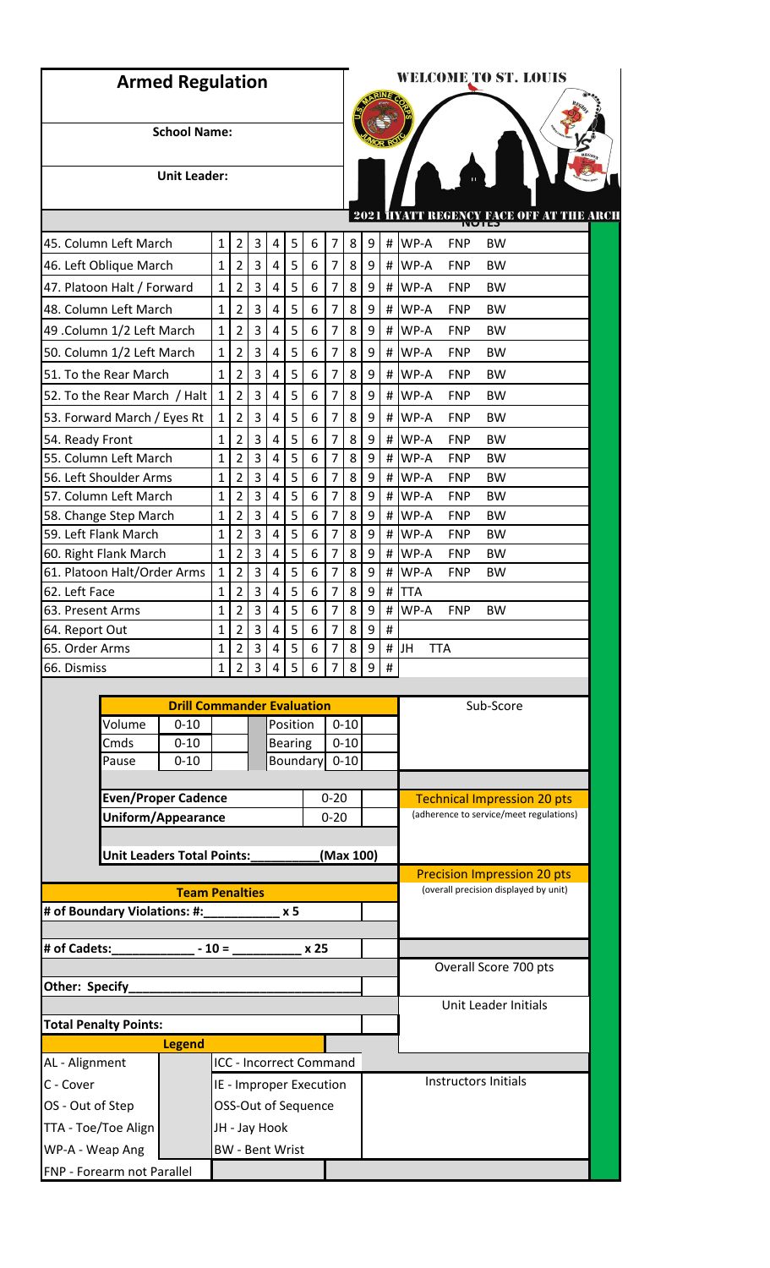| <b>Armed Regulation</b>                  |                            |                                   |              |                     |                |                        |                |                                |                                  |          | <b>WELCOME TO ST. LOUIS</b> |               |                                                                               |  |  |  |  |
|------------------------------------------|----------------------------|-----------------------------------|--------------|---------------------|----------------|------------------------|----------------|--------------------------------|----------------------------------|----------|-----------------------------|---------------|-------------------------------------------------------------------------------|--|--|--|--|
|                                          |                            |                                   |              |                     |                |                        |                |                                |                                  |          |                             |               |                                                                               |  |  |  |  |
|                                          |                            | <b>School Name:</b>               |              |                     |                |                        |                |                                |                                  |          |                             |               |                                                                               |  |  |  |  |
|                                          |                            |                                   |              |                     |                |                        |                |                                |                                  |          |                             |               |                                                                               |  |  |  |  |
|                                          |                            | <b>Unit Leader:</b>               |              |                     |                |                        |                |                                |                                  |          |                             |               |                                                                               |  |  |  |  |
|                                          |                            |                                   |              |                     |                |                        |                |                                |                                  |          | 2021                        |               | <b>TACE OFF AT THE AROL</b><br>IHKMMXMY<br>כאושוו                             |  |  |  |  |
| 45. Column Left March                    |                            |                                   | $\mathbf{1}$ | 2                   | 3              | 4                      | 5              | 6                              | 7                                | 8        | 9                           | #             | WP-A<br><b>FNP</b><br><b>BW</b>                                               |  |  |  |  |
| 46. Left Oblique March                   |                            |                                   | 1            | $\overline{2}$      | 3              | 4                      | 5              | 6                              | $\overline{7}$                   | 8        | 9                           | $\#$          | WP-A<br><b>FNP</b><br><b>BW</b>                                               |  |  |  |  |
| 47. Platoon Halt / Forward               |                            |                                   | 1            | $\overline{2}$      | 3              | 4                      | 5              | 6                              | $\overline{7}$                   | 8        | 9                           | $\#$          | WP-A<br><b>FNP</b><br><b>BW</b>                                               |  |  |  |  |
| 48. Column Left March                    |                            |                                   | $\mathbf{1}$ | 2                   | 3              | 4                      | 5              | 6                              | $\overline{7}$                   | 8        | 9                           | $\#$          | WP-A<br><b>FNP</b><br><b>BW</b>                                               |  |  |  |  |
| 49 .Column 1/2 Left March                |                            |                                   | 1            | 2                   | 3              | 4                      | 5              | 6                              | $\overline{7}$                   | 8        | 9                           | $\#$          | WP-A<br><b>FNP</b><br><b>BW</b>                                               |  |  |  |  |
| 50. Column 1/2 Left March                |                            |                                   | 1            | $\overline{2}$      | 3              | 4                      | 5              | 6                              | $\overline{7}$                   | 8        | 9                           | #             | WP-A<br><b>FNP</b><br><b>BW</b>                                               |  |  |  |  |
| 51. To the Rear March                    |                            |                                   | 1            | 2                   | 3              | 4                      | 5              | 6                              | $\overline{7}$                   | 8        | 9                           | $\#$          | WP-A<br><b>FNP</b><br><b>BW</b>                                               |  |  |  |  |
| 52. To the Rear March / Halt             |                            |                                   | $\mathbf{1}$ | 2                   | 3              | 4                      | 5              | 6                              | $\overline{7}$                   | 8        | 9                           | #             | WP-A<br><b>FNP</b><br><b>BW</b>                                               |  |  |  |  |
|                                          |                            |                                   | 1            |                     | 3              | 4                      | 5              | 6                              | $\overline{7}$                   | 8        | 9                           | $\#$          | WP-A<br><b>FNP</b><br><b>BW</b>                                               |  |  |  |  |
| 53. Forward March / Eyes Rt              |                            |                                   |              | 2                   |                |                        |                |                                |                                  |          |                             |               |                                                                               |  |  |  |  |
| 54. Ready Front<br>55. Column Left March |                            |                                   | 1<br>1       | 2<br>$\overline{2}$ | 3<br>3         | 4<br>4                 | 5<br>5         | 6<br>6                         | $\overline{7}$<br>$\overline{7}$ | 8<br>8   | 9<br>9                      | #<br>$\sharp$ | WP-A<br><b>FNP</b><br><b>BW</b><br>WP-A<br><b>FNP</b><br><b>BW</b>            |  |  |  |  |
| 56. Left Shoulder Arms                   |                            |                                   | 1            | 2                   | 3              | $\overline{4}$         | 5              | 6                              | $\overline{7}$                   | 8        | 9                           | #             | WP-A<br><b>BW</b><br><b>FNP</b>                                               |  |  |  |  |
| 57. Column Left March                    |                            |                                   | 1            | 2                   | 3              | 4                      | 5              | 6                              | $\overline{7}$                   | 8        | 9                           | #             | WP-A<br><b>FNP</b><br><b>BW</b>                                               |  |  |  |  |
| 58. Change Step March                    |                            |                                   | 1            | 2                   | 3              | 4                      | 5              | 6                              | $\overline{7}$                   | 8        | 9                           | $\#$          | WP-A<br><b>FNP</b><br><b>BW</b>                                               |  |  |  |  |
| 59. Left Flank March                     |                            |                                   | 1            | 2                   | 3              | 4                      | 5              | 6                              | $\overline{7}$                   | 8        | 9                           | $\#$          | WP-A<br><b>FNP</b><br><b>BW</b>                                               |  |  |  |  |
| 60. Right Flank March                    |                            |                                   | 1            | 2                   | 3              | 4                      | 5              | 6                              | $\overline{7}$                   | 8        | 9                           | $\#$          | WP-A<br><b>FNP</b><br><b>BW</b>                                               |  |  |  |  |
| 61. Platoon Halt/Order Arms              |                            |                                   | 1            | $\overline{2}$      | 3              | 4                      | 5              | 6                              | $\overline{7}$                   | 8        | 9                           | $\#$          | WP-A<br><b>FNP</b><br><b>BW</b>                                               |  |  |  |  |
| 62. Left Face                            |                            |                                   | 1            | 2                   | 3              | 4                      | 5              | 6                              | $\overline{7}$                   | 8        | 9                           | $\#$          | <b>TTA</b>                                                                    |  |  |  |  |
| 63. Present Arms                         |                            |                                   | 1            | 2                   | 3              | 4                      | 5              | 6                              | $\overline{7}$                   | 8        | 9                           | $\#$          | WP-A<br><b>BW</b><br><b>FNP</b>                                               |  |  |  |  |
| 64. Report Out                           |                            |                                   |              | z                   | 3              | 4                      | 5              | 6                              |                                  | 8        | 9                           | Ħ,            |                                                                               |  |  |  |  |
| 65. Order Arms                           |                            |                                   | 1            | $\overline{2}$      | $\overline{3}$ | 4                      | 5              | 6                              | $\overline{7}$                   | 8        | 9                           | $\#$          | IJн<br><b>TTA</b>                                                             |  |  |  |  |
| 66. Dismiss                              |                            |                                   | $\mathbf{1}$ | $\overline{2}$      | $\overline{3}$ | 4                      | 5              | 6                              | 7                                | 8        | 9                           | #             |                                                                               |  |  |  |  |
|                                          |                            | <b>Drill Commander Evaluation</b> |              |                     |                |                        |                |                                |                                  |          |                             |               | Sub-Score                                                                     |  |  |  |  |
|                                          | Volume                     | $0 - 10$                          |              |                     |                |                        | Position       |                                |                                  | $0 - 10$ |                             |               |                                                                               |  |  |  |  |
|                                          | Cmds                       | $0 - 10$                          |              |                     |                |                        | <b>Bearing</b> |                                |                                  | $0 - 10$ |                             |               |                                                                               |  |  |  |  |
|                                          | Pause                      | $0 - 10$                          |              |                     |                |                        |                | Boundary                       |                                  | $0 - 10$ |                             |               |                                                                               |  |  |  |  |
|                                          |                            |                                   |              |                     |                |                        |                |                                |                                  |          |                             |               |                                                                               |  |  |  |  |
|                                          | <b>Even/Proper Cadence</b> |                                   |              |                     |                |                        |                |                                | $0 - 20$                         |          |                             |               | <b>Technical Impression 20 pts</b><br>(adherence to service/meet regulations) |  |  |  |  |
|                                          | Uniform/Appearance         |                                   |              |                     |                |                        |                |                                | $0 - 20$                         |          |                             |               |                                                                               |  |  |  |  |
|                                          | Unit Leaders Total Points: |                                   |              |                     |                |                        |                |                                | (Max 100)                        |          |                             |               |                                                                               |  |  |  |  |
|                                          |                            |                                   |              |                     |                |                        |                |                                |                                  |          |                             |               | <b>Precision Impression 20 pts</b>                                            |  |  |  |  |
|                                          |                            | <b>Team Penalties</b>             |              |                     |                |                        |                |                                |                                  |          |                             |               | (overall precision displayed by unit)                                         |  |  |  |  |
| # of Boundary Violations: #:             |                            |                                   |              |                     |                |                        | x 5            |                                |                                  |          |                             |               |                                                                               |  |  |  |  |
| # of Cadets:                             |                            |                                   | $-10=$       |                     |                |                        |                | x 25                           |                                  |          |                             |               |                                                                               |  |  |  |  |
|                                          |                            |                                   |              |                     |                |                        |                |                                |                                  |          |                             |               | Overall Score 700 pts                                                         |  |  |  |  |
| Other: Specify                           |                            |                                   |              |                     |                |                        |                |                                |                                  |          |                             |               |                                                                               |  |  |  |  |
|                                          |                            |                                   |              |                     |                |                        |                |                                |                                  |          |                             |               | Unit Leader Initials                                                          |  |  |  |  |
| <b>Total Penalty Points:</b>             |                            |                                   |              |                     |                |                        |                |                                |                                  |          |                             |               |                                                                               |  |  |  |  |
|                                          |                            | <b>Legend</b>                     |              |                     |                |                        |                |                                |                                  |          |                             |               |                                                                               |  |  |  |  |
| AL - Alignment                           |                            |                                   |              |                     |                |                        |                | <b>ICC - Incorrect Command</b> |                                  |          |                             |               |                                                                               |  |  |  |  |
| C - Cover                                |                            |                                   |              |                     |                |                        |                | IE - Improper Execution        |                                  |          |                             |               | <b>Instructors Initials</b>                                                   |  |  |  |  |
| OS - Out of Step                         |                            |                                   |              |                     |                |                        |                | OSS-Out of Sequence            |                                  |          |                             |               |                                                                               |  |  |  |  |
| TTA - Toe/Toe Align                      |                            |                                   |              |                     |                | JH - Jay Hook          |                |                                |                                  |          |                             |               |                                                                               |  |  |  |  |
| WP-A - Weap Ang                          |                            |                                   |              |                     |                | <b>BW</b> - Bent Wrist |                |                                |                                  |          |                             |               |                                                                               |  |  |  |  |
| FNP - Forearm not Parallel               |                            |                                   |              |                     |                |                        |                |                                |                                  |          |                             |               |                                                                               |  |  |  |  |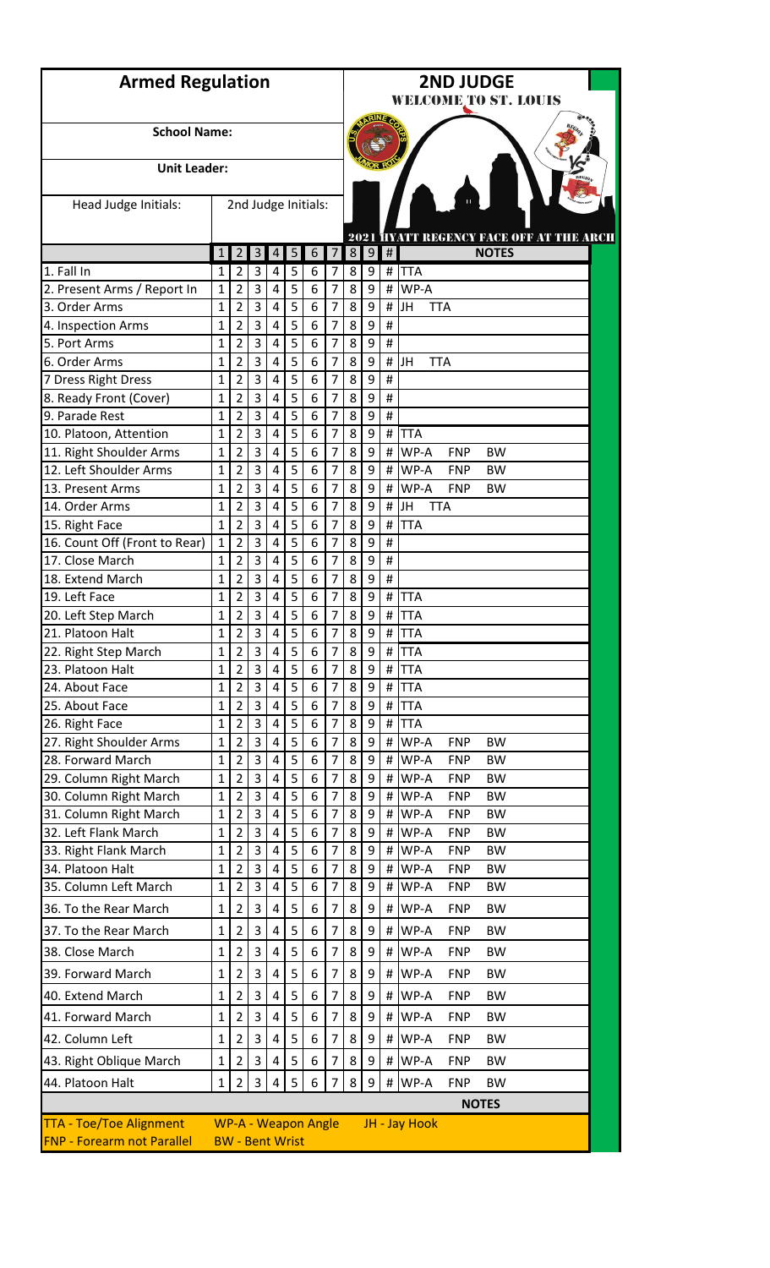| <b>Armed Regulation</b>                 |              |                        |                     |                     | <b>2ND JUDGE</b><br><b>WELCOME TO ST. LOUIS</b> |                            |                     |                                                |        |           |                                 |  |  |  |  |  |
|-----------------------------------------|--------------|------------------------|---------------------|---------------------|-------------------------------------------------|----------------------------|---------------------|------------------------------------------------|--------|-----------|---------------------------------|--|--|--|--|--|
| <b>School Name:</b>                     |              |                        |                     |                     |                                                 |                            |                     |                                                |        |           |                                 |  |  |  |  |  |
| <b>Unit Leader:</b>                     |              |                        |                     |                     |                                                 |                            |                     |                                                |        |           |                                 |  |  |  |  |  |
| Head Judge Initials:                    |              |                        |                     |                     |                                                 | 2nd Judge Initials:        |                     |                                                |        |           |                                 |  |  |  |  |  |
|                                         |              |                        |                     |                     |                                                 |                            |                     | 2021 <b>HYATT REGENCY FACE OFF AT THE ARCH</b> |        |           |                                 |  |  |  |  |  |
| 1. Fall In                              | 1            | $\overline{2}$<br>2    | $\overline{3}$<br>3 | $\overline{4}$<br>4 | 5                                               | 6<br>6                     | $\overline{7}$      | 8 <sup>1</sup>                                 | 9      | $\#$<br># | <b>NOTES</b><br><b>TTA</b>      |  |  |  |  |  |
| 2. Present Arms / Report In             | 1<br>1       | $\overline{2}$         | 3                   | 4                   | 5<br>5                                          | 6                          | 7<br>7              | 8<br>8                                         | 9<br>9 | #         | WP-A                            |  |  |  |  |  |
| 3. Order Arms                           | 1            | $\overline{2}$         | 3                   | 4                   | 5                                               | 6                          | 7                   | 8                                              | 9      | #         | JH<br><b>TTA</b>                |  |  |  |  |  |
| 4. Inspection Arms                      | 1            | 2                      | 3                   | $\overline{4}$      | 5                                               | 6                          | 7                   | 8                                              | 9      | #         |                                 |  |  |  |  |  |
| 5. Port Arms                            | 1            | $\overline{2}$         | 3                   | $\overline{4}$      | 5                                               | 6                          | 7                   | 8                                              | 9      | #         |                                 |  |  |  |  |  |
| 6. Order Arms                           | 1            | $\overline{2}$         | 3                   | $\overline{a}$      | 5                                               | 6                          | 7                   | 8                                              | 9      | #         | JH<br><b>TTA</b>                |  |  |  |  |  |
| 7 Dress Right Dress                     | 1            | $\overline{2}$         | 3                   | 4                   | 5                                               | 6                          | 7                   | 8                                              | 9      | #         |                                 |  |  |  |  |  |
| 8. Ready Front (Cover)                  | 1            | $\overline{2}$         | 3                   | 4                   | 5                                               | 6                          | 7                   | 8                                              | 9      | #         |                                 |  |  |  |  |  |
| 9. Parade Rest                          | 1            | 2                      | 3                   | 4                   | 5                                               | 6                          | 7                   | 8                                              | 9      | $\#$      |                                 |  |  |  |  |  |
| 10. Platoon, Attention                  | 1            | $\overline{2}$         | 3                   | $\overline{4}$      | 5                                               | 6                          | 7                   | 8                                              | 9      | #         | <b>TTA</b>                      |  |  |  |  |  |
| 11. Right Shoulder Arms                 | 1            | $\overline{2}$         | 3                   | 4                   | 5                                               | 6                          | 7                   | 8                                              | 9      | #         | WP-A<br><b>FNP</b><br><b>BW</b> |  |  |  |  |  |
| 12. Left Shoulder Arms                  | 1            | $\overline{2}$         | 3                   | 4                   | 5                                               | 6                          | 7                   | 8                                              | 9      | #         | WP-A<br><b>FNP</b><br><b>BW</b> |  |  |  |  |  |
| 13. Present Arms                        | 1            | $\overline{2}$         | 3                   | 4                   | 5                                               | 6                          | $\overline{7}$      | 8                                              | 9      | #         | WP-A<br><b>FNP</b><br><b>BW</b> |  |  |  |  |  |
| 14. Order Arms                          | 1            | 2                      | 3                   | $\overline{4}$      | 5                                               | 6                          | 7                   | 8                                              | 9      | #         | JH<br><b>TTA</b>                |  |  |  |  |  |
| 15. Right Face                          | $\mathbf{1}$ | $\overline{2}$         | 3                   | $\overline{4}$      | 5                                               | 6                          | 7                   | 8                                              | 9      | #         | <b>TTA</b>                      |  |  |  |  |  |
| 16. Count Off (Front to Rear)           | $\mathbf{1}$ | $\overline{2}$         | 3                   | 4                   | 5                                               | 6                          | 7                   | 8                                              | 9      | #         |                                 |  |  |  |  |  |
| 17. Close March                         | 1            | $\overline{2}$         | 3                   | 4                   | 5                                               | 6                          | 7                   | 8                                              | 9      | #         |                                 |  |  |  |  |  |
| 18. Extend March                        | 1            | $\overline{2}$         | 3                   | 4                   | 5                                               | 6                          | $\overline{7}$      | 8                                              | 9      | #         |                                 |  |  |  |  |  |
| 19. Left Face                           | 1            | 2                      | 3<br>3              | $\overline{4}$<br>4 | 5<br>5                                          | 6<br>6                     | 7<br>$\overline{7}$ | 8<br>8                                         | 9<br>9 | #<br>#    | <b>TTA</b>                      |  |  |  |  |  |
| 20. Left Step March<br>21. Platoon Halt | 1<br>1       | $\overline{2}$<br>2    | 3                   | 4                   | 5                                               | 6                          | 7                   | 8                                              | 9      |           | <b>TTA</b><br>#  TTA            |  |  |  |  |  |
| 22. Right Step March                    | 1            | $\overline{2}$         | 3                   | $\overline{4}$      | 5                                               | 6                          | $\overline{7}$      | 8                                              | 9      | #         | <b>TTA</b>                      |  |  |  |  |  |
| 23. Platoon Halt                        | 1            | $\overline{2}$         | 3                   | 4                   | 5                                               | 6                          | $\overline{7}$      | 8                                              | 9      | #         | <b>TTA</b>                      |  |  |  |  |  |
| 24. About Face                          | 1            | $\overline{2}$         | 3                   | 4                   | 5                                               | 6                          | 7                   | 8                                              | 9      | #         | <b>TTA</b>                      |  |  |  |  |  |
| 25. About Face                          | 1            | $\overline{2}$         | 3                   | 4                   | 5                                               | 6                          | 7                   | 8                                              | 9      | #         | <b>TTA</b>                      |  |  |  |  |  |
| 26. Right Face                          | 1            | $\overline{2}$         | 3                   | 4                   | 5                                               | 6                          | 7                   | 8                                              | 9      | #         | <b>TTA</b>                      |  |  |  |  |  |
| 27. Right Shoulder Arms                 | 1            | $\overline{2}$         | 3                   | 4                   | 5                                               | 6                          | 7                   | 8                                              | 9      | #         | WP-A<br><b>FNP</b><br><b>BW</b> |  |  |  |  |  |
| 28. Forward March                       | 1            | 2                      | 3                   | 4                   | 5                                               | 6                          | $\overline{7}$      | 8                                              | 9      | #         | WP-A<br><b>FNP</b><br><b>BW</b> |  |  |  |  |  |
| 29. Column Right March                  | 1            | $\overline{2}$         | 3                   | 4                   | 5                                               | 6                          | 7                   | 8                                              | 9      | #         | WP-A<br><b>FNP</b><br><b>BW</b> |  |  |  |  |  |
| 30. Column Right March                  | 1            | $\overline{2}$         | 3                   | 4                   | 5                                               | 6                          | 7                   | 8                                              | 9      | #         | WP-A<br><b>FNP</b><br><b>BW</b> |  |  |  |  |  |
| 31. Column Right March                  | 1            | 2                      | 3                   | 4                   | 5                                               | 6                          | 7                   | 8                                              | 9      | #         | WP-A<br><b>FNP</b><br><b>BW</b> |  |  |  |  |  |
| 32. Left Flank March                    | 1            | $\overline{2}$         | 3                   | 4                   | 5                                               | 6                          | 7                   | 8                                              | 9      | #         | WP-A<br><b>FNP</b><br><b>BW</b> |  |  |  |  |  |
| 33. Right Flank March                   | 1            | 2                      | 3                   | 4                   | 5                                               | 6                          | 7                   | 8                                              | 9      | #         | WP-A<br><b>FNP</b><br><b>BW</b> |  |  |  |  |  |
| 34. Platoon Halt                        | 1            | $\overline{2}$         | 3                   | 4                   | 5                                               | 6                          | 7                   | 8                                              | 9      | #         | WP-A<br><b>FNP</b><br><b>BW</b> |  |  |  |  |  |
| 35. Column Left March                   | 1            | $\overline{2}$         | 3                   | 4                   | 5                                               | 6                          | 7                   | 8                                              | 9      | #         | WP-A<br><b>FNP</b><br><b>BW</b> |  |  |  |  |  |
| 36. To the Rear March                   | 1            | $\overline{2}$         | 3                   | $\pmb{4}$           | 5                                               | 6                          | $\overline{7}$      | 8                                              | 9      | #         | WP-A<br><b>FNP</b><br><b>BW</b> |  |  |  |  |  |
| 37. To the Rear March                   | 1            | 2                      | 3                   | 4                   | 5                                               | 6                          | 7                   | 8                                              | 9      | #         | WP-A<br><b>FNP</b><br><b>BW</b> |  |  |  |  |  |
| 38. Close March                         | 1            | 2                      | 3                   | $\overline{4}$      | 5                                               | 6                          | 7                   | 8                                              | 9      | #         | WP-A<br><b>FNP</b><br><b>BW</b> |  |  |  |  |  |
| 39. Forward March                       | 1            | 2                      | 3                   | 4                   | 5                                               | 6                          | 7                   | 8                                              | 9      | $\sharp$  | WP-A<br><b>FNP</b><br><b>BW</b> |  |  |  |  |  |
| 40. Extend March                        | 1            | 2                      | 3                   | 4                   | 5                                               | 6                          | 7                   | 8                                              | 9      | #         | WP-A<br><b>FNP</b><br><b>BW</b> |  |  |  |  |  |
| 41. Forward March                       | 1            | 2                      | 3                   | 4                   | 5                                               | 6                          | 7                   | 8                                              | 9      | #         | WP-A<br><b>FNP</b><br><b>BW</b> |  |  |  |  |  |
|                                         |              |                        |                     |                     |                                                 |                            |                     |                                                |        |           |                                 |  |  |  |  |  |
| 42. Column Left                         | 1            | 2                      | 3                   | 4                   | 5                                               | 6                          | 7                   | 8                                              | 9      | #         | WP-A<br><b>FNP</b><br><b>BW</b> |  |  |  |  |  |
| 43. Right Oblique March                 | 1            | $\overline{2}$         | 3                   | 4                   | 5                                               | 6                          | 7                   | 8                                              | 9      | #         | WP-A<br><b>FNP</b><br><b>BW</b> |  |  |  |  |  |
| 44. Platoon Halt                        | 1            | $\overline{2}$         | 3                   | 4                   | 5                                               | 6                          | 7                   | 8                                              | 9      | #         | WP-A<br><b>FNP</b><br><b>BW</b> |  |  |  |  |  |
|                                         |              |                        |                     |                     |                                                 |                            |                     |                                                |        |           | <b>NOTES</b>                    |  |  |  |  |  |
| <b>TTA - Toe/Toe Alignment</b>          |              |                        |                     |                     |                                                 | <b>WP-A - Weapon Angle</b> |                     |                                                |        |           | JH - Jay Hook                   |  |  |  |  |  |
| <b>FNP - Forearm not Parallel</b>       |              | <b>BW</b> - Bent Wrist |                     |                     |                                                 |                            |                     |                                                |        |           |                                 |  |  |  |  |  |